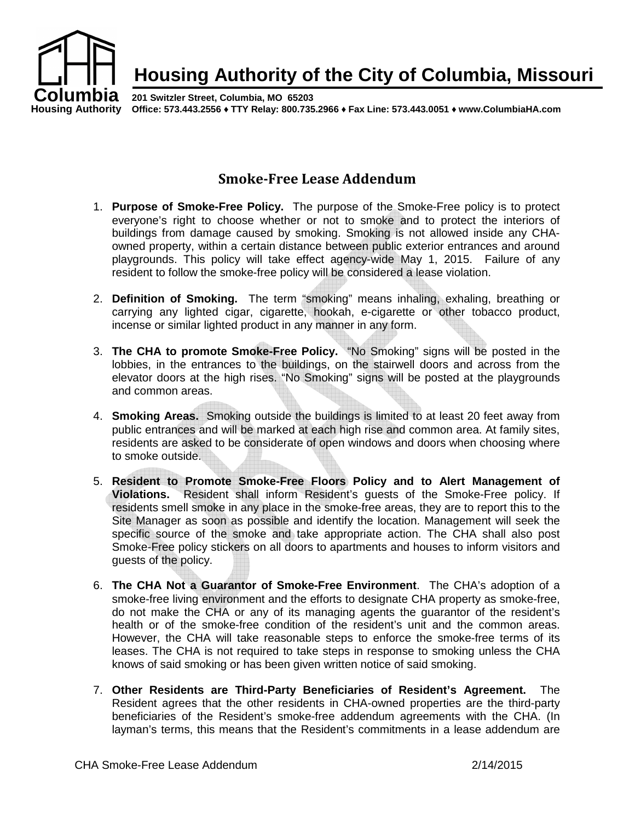

## **Smoke-Free Lease Addendum**

- 1. **Purpose of Smoke-Free Policy.** The purpose of the Smoke-Free policy is to protect everyone's right to choose whether or not to smoke and to protect the interiors of buildings from damage caused by smoking. Smoking is not allowed inside any CHAowned property, within a certain distance between public exterior entrances and around playgrounds. This policy will take effect agency-wide May 1, 2015. Failure of any resident to follow the smoke-free policy will be considered a lease violation.
- 2. **Definition of Smoking.** The term "smoking" means inhaling, exhaling, breathing or carrying any lighted cigar, cigarette, hookah, e-cigarette or other tobacco product, incense or similar lighted product in any manner in any form.
- 3. **The CHA to promote Smoke-Free Policy.** "No Smoking" signs will be posted in the lobbies, in the entrances to the buildings, on the stairwell doors and across from the elevator doors at the high rises. "No Smoking" signs will be posted at the playgrounds and common areas.
- 4. **Smoking Areas.** Smoking outside the buildings is limited to at least 20 feet away from public entrances and will be marked at each high rise and common area. At family sites, residents are asked to be considerate of open windows and doors when choosing where to smoke outside.
- 5. **Resident to Promote Smoke-Free Floors Policy and to Alert Management of Violations.** Resident shall inform Resident's guests of the Smoke-Free policy. If residents smell smoke in any place in the smoke-free areas, they are to report this to the Site Manager as soon as possible and identify the location. Management will seek the specific source of the smoke and take appropriate action. The CHA shall also post Smoke-Free policy stickers on all doors to apartments and houses to inform visitors and guests of the policy.
- 6. **The CHA Not a Guarantor of Smoke-Free Environment**. The CHA's adoption of a smoke-free living environment and the efforts to designate CHA property as smoke-free, do not make the CHA or any of its managing agents the guarantor of the resident's health or of the smoke-free condition of the resident's unit and the common areas. However, the CHA will take reasonable steps to enforce the smoke-free terms of its leases. The CHA is not required to take steps in response to smoking unless the CHA knows of said smoking or has been given written notice of said smoking.
- 7. **Other Residents are Third-Party Beneficiaries of Resident's Agreement.** The Resident agrees that the other residents in CHA-owned properties are the third-party beneficiaries of the Resident's smoke-free addendum agreements with the CHA. (In layman's terms, this means that the Resident's commitments in a lease addendum are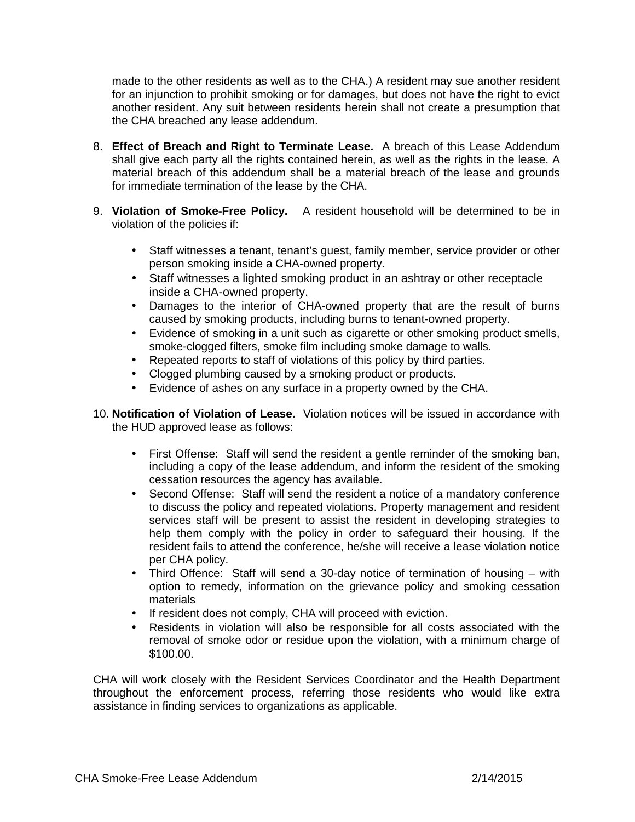made to the other residents as well as to the CHA.) A resident may sue another resident for an injunction to prohibit smoking or for damages, but does not have the right to evict another resident. Any suit between residents herein shall not create a presumption that the CHA breached any lease addendum.

- 8. **Effect of Breach and Right to Terminate Lease.** A breach of this Lease Addendum shall give each party all the rights contained herein, as well as the rights in the lease. A material breach of this addendum shall be a material breach of the lease and grounds for immediate termination of the lease by the CHA.
- 9. **Violation of Smoke-Free Policy.** A resident household will be determined to be in violation of the policies if:
	- Staff witnesses a tenant, tenant's guest, family member, service provider or other person smoking inside a CHA-owned property.
	- Staff witnesses a lighted smoking product in an ashtray or other receptacle inside a CHA-owned property.
	- Damages to the interior of CHA-owned property that are the result of burns caused by smoking products, including burns to tenant-owned property.
	- Evidence of smoking in a unit such as cigarette or other smoking product smells, smoke-clogged filters, smoke film including smoke damage to walls.
	- Repeated reports to staff of violations of this policy by third parties.
	- Clogged plumbing caused by a smoking product or products.
	- Evidence of ashes on any surface in a property owned by the CHA.
- 10. **Notification of Violation of Lease.** Violation notices will be issued in accordance with the HUD approved lease as follows:
	- First Offense: Staff will send the resident a gentle reminder of the smoking ban, including a copy of the lease addendum, and inform the resident of the smoking cessation resources the agency has available.
	- Second Offense: Staff will send the resident a notice of a mandatory conference to discuss the policy and repeated violations. Property management and resident services staff will be present to assist the resident in developing strategies to help them comply with the policy in order to safeguard their housing. If the resident fails to attend the conference, he/she will receive a lease violation notice per CHA policy.
	- Third Offence: Staff will send a 30-day notice of termination of housing with option to remedy, information on the grievance policy and smoking cessation materials
	- If resident does not comply, CHA will proceed with eviction.
	- Residents in violation will also be responsible for all costs associated with the removal of smoke odor or residue upon the violation, with a minimum charge of \$100.00.

CHA will work closely with the Resident Services Coordinator and the Health Department throughout the enforcement process, referring those residents who would like extra assistance in finding services to organizations as applicable.